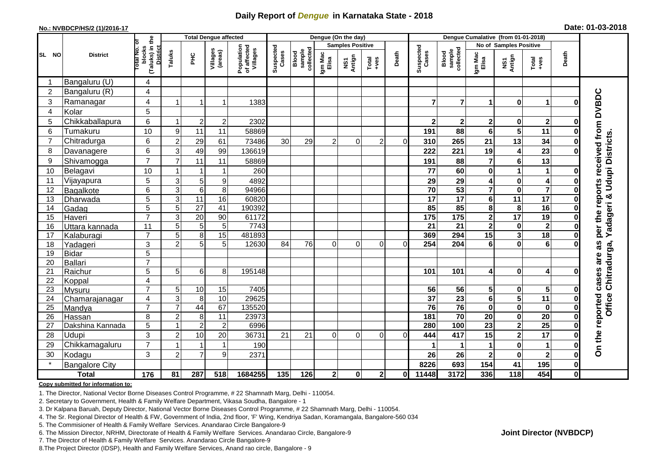## **Daily Report of** *Dengue* **in Karnataka State - 2018**

#### **No.: NVBDCP/HS/2 (1)/2016-17**

|  |  | Date: 01-03-2018 |
|--|--|------------------|
|--|--|------------------|

|                |                       |                     |                                                       |                 | <b>Total Dengue affected</b> |                     |                                       |                    |                              | Dengue (On the day)     |                |                                                                        |                       |                    |                                     |                                                    |                         |                                                              |                                     |  |
|----------------|-----------------------|---------------------|-------------------------------------------------------|-----------------|------------------------------|---------------------|---------------------------------------|--------------------|------------------------------|-------------------------|----------------|------------------------------------------------------------------------|-----------------------|--------------------|-------------------------------------|----------------------------------------------------|-------------------------|--------------------------------------------------------------|-------------------------------------|--|
|                |                       |                     |                                                       |                 |                              |                     |                                       |                    |                              | <b>Samples Positive</b> |                |                                                                        |                       |                    |                                     | No of Samples Positive                             |                         |                                                              |                                     |  |
| SL NO          | <b>District</b>       |                     | (Taluks) in the<br>District<br>lotal No. ol<br>blocks | Taluks          | $rac{C}{\pi}$                | Villages<br>(areas) | Population<br>of affected<br>Villages | Suspected<br>Cases | sample<br>collected<br>Blood | Igm Mac<br>Elisa        | NS1<br>Antign  | $\begin{array}{c}\n\text{Total} \\ \text{1}-\text{total}\n\end{array}$ | Death                 | Suspected<br>Cases | collected<br><b>Blood</b><br>sample | Igm Mac<br>Elisa                                   | NS1<br>Antign           | $\begin{array}{c}\n\text{Total} \\ \text{Area}\n\end{array}$ | Death                               |  |
|                | Bangaluru (U)         | 4                   |                                                       |                 |                              |                     |                                       |                    |                              |                         |                |                                                                        |                       |                    |                                     |                                                    |                         |                                                              |                                     |  |
| $\overline{2}$ | Bangaluru (R)         | $\overline{4}$      |                                                       |                 |                              |                     |                                       |                    |                              |                         |                |                                                                        |                       |                    |                                     |                                                    |                         |                                                              |                                     |  |
| 3              | Ramanagar             | 4                   |                                                       |                 | 1                            | 1383                |                                       |                    |                              |                         |                |                                                                        | 7                     | $\overline{7}$     | 1                                   | $\bf{0}$                                           | $\blacktriangleleft$    | U                                                            | per the reports received from DVBDC |  |
| 4              | Kolar                 | 5                   |                                                       |                 |                              |                     |                                       |                    |                              |                         |                |                                                                        |                       |                    |                                     |                                                    |                         |                                                              |                                     |  |
| 5              | Chikkaballapura       | 6                   | -1                                                    | $\overline{2}$  | $\mathbf 2$                  | 2302                |                                       |                    |                              |                         |                |                                                                        | $\overline{2}$        | $\mathbf{2}$       | $\mathbf 2$                         | $\mathbf 0$                                        | $\overline{\mathbf{2}}$ | 0                                                            |                                     |  |
| 6              | Tumakuru              | 10                  | 9                                                     | 11              | 11                           | 58869               |                                       |                    |                              |                         |                |                                                                        | 191                   | 88                 | 6                                   | $\overline{\mathbf{5}}$                            | 11                      | ŋ                                                            |                                     |  |
| $\overline{7}$ | Chitradurga           | 6                   | $\overline{2}$                                        | 29              | 61                           | 73486               | 30                                    | 29                 | 2                            | $\Omega$                | $\overline{c}$ | $\Omega$                                                               | 310                   | 265                | 21                                  | 13                                                 | 34                      |                                                              |                                     |  |
| 8              | Davanagere            | 6                   | 3                                                     | 49              | 99                           | 136619              |                                       |                    |                              |                         |                |                                                                        | 222                   | 221                | 19                                  | 4                                                  | $\overline{23}$         | O                                                            |                                     |  |
| 9              | Shivamogga            | $\overline{7}$      | $\overline{7}$                                        | 11              | 11                           | 58869               |                                       |                    |                              |                         |                |                                                                        | 191                   | 88                 | 7                                   | $\bf 6$                                            | 13                      |                                                              | <b>Udupi Districts</b>              |  |
| 10             | Belagavi              | 10                  | 1                                                     |                 | 1                            | 260                 |                                       |                    |                              |                         |                |                                                                        | 77                    | 60                 | 0                                   | 1                                                  | $\mathbf 1$             | O                                                            |                                     |  |
| 11             | Vijayapura            | 5                   | 3                                                     | 5               | 9                            | 4892                |                                       |                    |                              |                         |                |                                                                        | 29                    | 29                 | 4                                   | $\pmb{0}$                                          | $\overline{\mathbf{4}}$ | 0                                                            |                                     |  |
| 12             | Bagalkote             | 6                   | $\overline{3}$                                        | $\overline{6}$  | 8                            | 94966               |                                       |                    |                              |                         |                |                                                                        | 70                    | 53                 | $\overline{\mathbf{7}}$             | $\mathbf 0$                                        | $\overline{\mathbf{7}}$ | 0                                                            |                                     |  |
| 13             | Dharwada              | 5                   | 3                                                     | $\overline{11}$ | 16                           | 60820               |                                       |                    |                              |                         |                |                                                                        | 17                    | $\overline{17}$    | $6\phantom{a}$                      | $\overline{11}$                                    | 17                      | 0                                                            | Yadageri &                          |  |
| 14             | Gadag                 | $\overline{5}$      | 5                                                     | $\overline{27}$ | $\overline{41}$              | 190392              |                                       |                    |                              |                         |                |                                                                        | 85                    | 85                 | 8                                   | 8                                                  | 16                      | O                                                            |                                     |  |
| 15             | Haveri                | $\overline{7}$      | 3                                                     | 20              | 90                           | 61172               |                                       |                    |                              |                         |                |                                                                        | 175                   | 175                | $\mathbf 2$                         | 17                                                 | 19                      | O                                                            |                                     |  |
| 16             | Uttara kannada        | 11                  | 5                                                     | 5               | 5                            | 7743                |                                       |                    |                              |                         |                |                                                                        | 21                    | $\overline{21}$    | $\overline{\mathbf{2}}$             | $\pmb{0}$                                          | $\overline{\mathbf{2}}$ | 0                                                            |                                     |  |
| 17             | Kalaburagi            | $\overline{7}$      | 5                                                     | 8               | 15                           | 481893              |                                       |                    |                              |                         |                |                                                                        | 369                   | 294                | 15                                  | 3                                                  | 18                      | $\bf{0}$                                                     |                                     |  |
| 18             | Yadageri              | 3                   | $\overline{2}$                                        | $\overline{5}$  | 5                            | 12630               | 84                                    | 76                 | $\Omega$                     | $\Omega$                | $\Omega$       | ΩI                                                                     | 254                   | 204                | 6                                   | $\mathbf 0$                                        | $\overline{6}$          |                                                              | as                                  |  |
| 19             | <b>Bidar</b>          | 5                   |                                                       |                 |                              |                     |                                       |                    |                              |                         |                |                                                                        |                       |                    |                                     |                                                    |                         |                                                              | are                                 |  |
| 20             | <b>Ballari</b>        | $\overline{7}$      |                                                       |                 |                              |                     |                                       |                    |                              |                         |                |                                                                        |                       |                    |                                     |                                                    |                         |                                                              |                                     |  |
| 21             | Raichur               | 5                   | 5                                                     | 6               | 8                            | 195148              |                                       |                    |                              |                         |                |                                                                        | 101                   | 101                | 4                                   | $\mathbf 0$                                        | 4                       |                                                              | cases                               |  |
| 22             | Koppal                | 4<br>$\overline{7}$ |                                                       |                 |                              |                     |                                       |                    |                              |                         |                |                                                                        |                       |                    |                                     |                                                    |                         |                                                              |                                     |  |
| 23             | Mysuru                |                     | 5                                                     | 10              | 15                           | 7405                |                                       |                    |                              |                         |                |                                                                        | 56<br>$\overline{37}$ | 56                 | 5                                   | $\mathbf 0$                                        | 5<br>$\overline{11}$    |                                                              |                                     |  |
| 24<br>25       | Chamarajanagar        | 4<br>$\overline{7}$ | 3<br>$\overline{7}$                                   | 8<br>44         | 10<br>67                     | 29625<br>135520     |                                       |                    |                              |                         |                |                                                                        | 76                    | 23<br>76           | $6\phantom{a}$<br>$\mathbf 0$       | $\overline{\mathbf{5}}$<br>$\overline{\mathbf{0}}$ | $\mathbf 0$             | 0<br>$\bf{0}$                                                | Office Chitradurga,                 |  |
| 26             | Mandya<br>Hassan      | 8                   | $\overline{2}$                                        | 8               | 11                           | 23973               |                                       |                    |                              |                         |                |                                                                        | 181                   | 70                 | 20                                  | $\mathbf 0$                                        | $\overline{20}$         | $\bf{0}$                                                     |                                     |  |
| 27             | Dakshina Kannada      | 5                   | 1                                                     | $\overline{2}$  | $\overline{2}$               | 6996                |                                       |                    |                              |                         |                |                                                                        | 280                   | 100                | $\overline{23}$                     | $\overline{2}$                                     | 25                      | $\bf{0}$                                                     |                                     |  |
| 28             | Udupi                 | 3                   | $\overline{2}$                                        | 10              | 20                           | 36731               | 21                                    | 21                 | $\Omega$                     | $\mathbf 0$             | 0              | $\Omega$                                                               | 444                   | 417                | 15                                  | $\overline{\mathbf{c}}$                            | $\overline{17}$         | ŋ                                                            |                                     |  |
| 29             | Chikkamagaluru        | $\overline{7}$      |                                                       |                 | $\mathbf{1}$                 | 190                 |                                       |                    |                              |                         |                |                                                                        |                       |                    | 1                                   | $\mathbf 0$                                        | 1                       | O                                                            | On the reported                     |  |
| 30             | Kodagu                | 3                   | $\overline{c}$                                        | $\overline{7}$  | 9                            | 2371                |                                       |                    |                              |                         |                |                                                                        | 26                    | 26                 | $\mathbf 2$                         | $\pmb{0}$                                          | $\overline{\mathbf{2}}$ | 0                                                            |                                     |  |
|                | <b>Bangalore City</b> |                     |                                                       |                 |                              |                     |                                       |                    |                              |                         |                |                                                                        | 8226                  | 693                | 154                                 | 41                                                 | 195                     | $\mathbf{0}$                                                 |                                     |  |
|                | <b>Total</b>          | $\frac{1}{176}$     | 81                                                    | 287             | 518                          | 1684255             | 135                                   | 126                | 2 <sub>1</sub>               | $\mathbf 0$             | $\mathbf{2}$   | 01                                                                     | 11448                 | 3172               | 336                                 | $\frac{1}{18}$                                     | 454                     | $\mathbf{0}$                                                 |                                     |  |
|                |                       |                     |                                                       |                 |                              |                     |                                       |                    |                              |                         |                |                                                                        |                       |                    |                                     |                                                    |                         |                                                              |                                     |  |

#### **Copy submitted for information to:**

1. The Director, National Vector Borne Diseases Control Programme, # 22 Shamnath Marg, Delhi - 110054.

2. Secretary to Government, Health & Family Welfare Department, Vikasa Soudha, Bangalore - 1

3. Dr Kalpana Baruah, Deputy Director, National Vector Borne Diseases Control Programme, # 22 Shamnath Marg, Delhi - 110054.

4. The Sr. Regional Director of Health & FW, Government of India, 2nd floor, 'F' Wing, Kendriya Sadan, Koramangala, Bangalore-560 034

5. The Commisioner of Health & Family Welfare Services. Anandarao Circle Bangalore-9

6. The Mission Director, NRHM, Directorate of Health & Family Welfare Services. Anandarao Circle, Bangalore-9

7. The Director of Health & Family Welfare Services. Anandarao Circle Bangalore-9

8.The Project Director (IDSP), Health and Family Welfare Services, Anand rao circle, Bangalore - 9